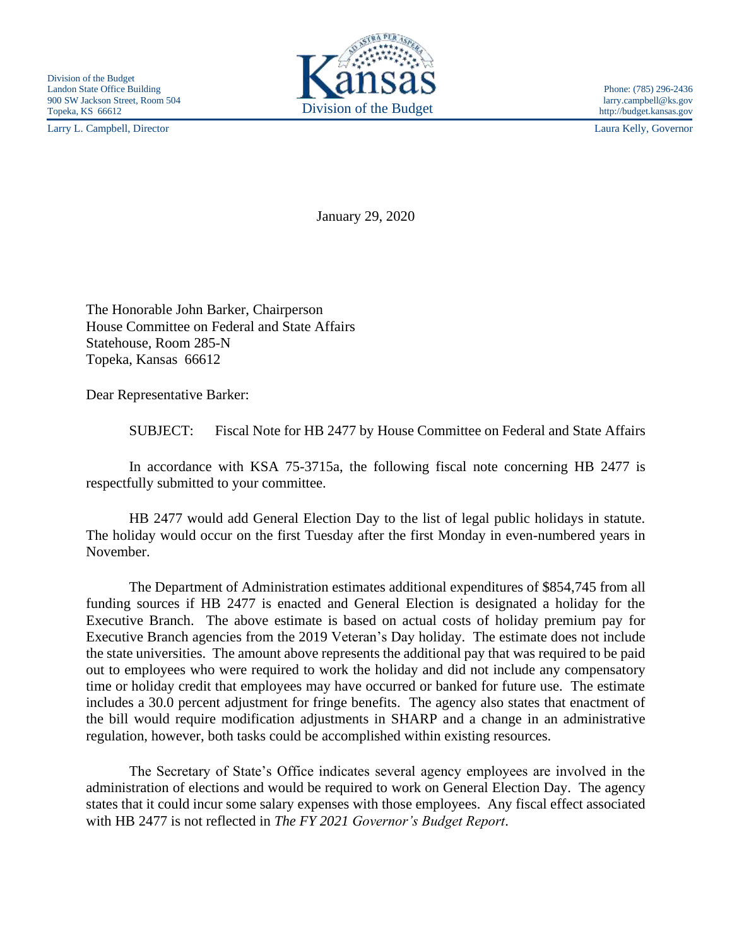Larry L. Campbell, Director Laura Kelly, Governor



http://budget.kansas.gov

January 29, 2020

The Honorable John Barker, Chairperson House Committee on Federal and State Affairs Statehouse, Room 285-N Topeka, Kansas 66612

Dear Representative Barker:

SUBJECT: Fiscal Note for HB 2477 by House Committee on Federal and State Affairs

In accordance with KSA 75-3715a, the following fiscal note concerning HB 2477 is respectfully submitted to your committee.

HB 2477 would add General Election Day to the list of legal public holidays in statute. The holiday would occur on the first Tuesday after the first Monday in even-numbered years in November.

The Department of Administration estimates additional expenditures of \$854,745 from all funding sources if HB 2477 is enacted and General Election is designated a holiday for the Executive Branch. The above estimate is based on actual costs of holiday premium pay for Executive Branch agencies from the 2019 Veteran's Day holiday. The estimate does not include the state universities. The amount above represents the additional pay that was required to be paid out to employees who were required to work the holiday and did not include any compensatory time or holiday credit that employees may have occurred or banked for future use. The estimate includes a 30.0 percent adjustment for fringe benefits. The agency also states that enactment of the bill would require modification adjustments in SHARP and a change in an administrative regulation, however, both tasks could be accomplished within existing resources.

The Secretary of State's Office indicates several agency employees are involved in the administration of elections and would be required to work on General Election Day. The agency states that it could incur some salary expenses with those employees. Any fiscal effect associated with HB 2477 is not reflected in *The FY 2021 Governor's Budget Report*.